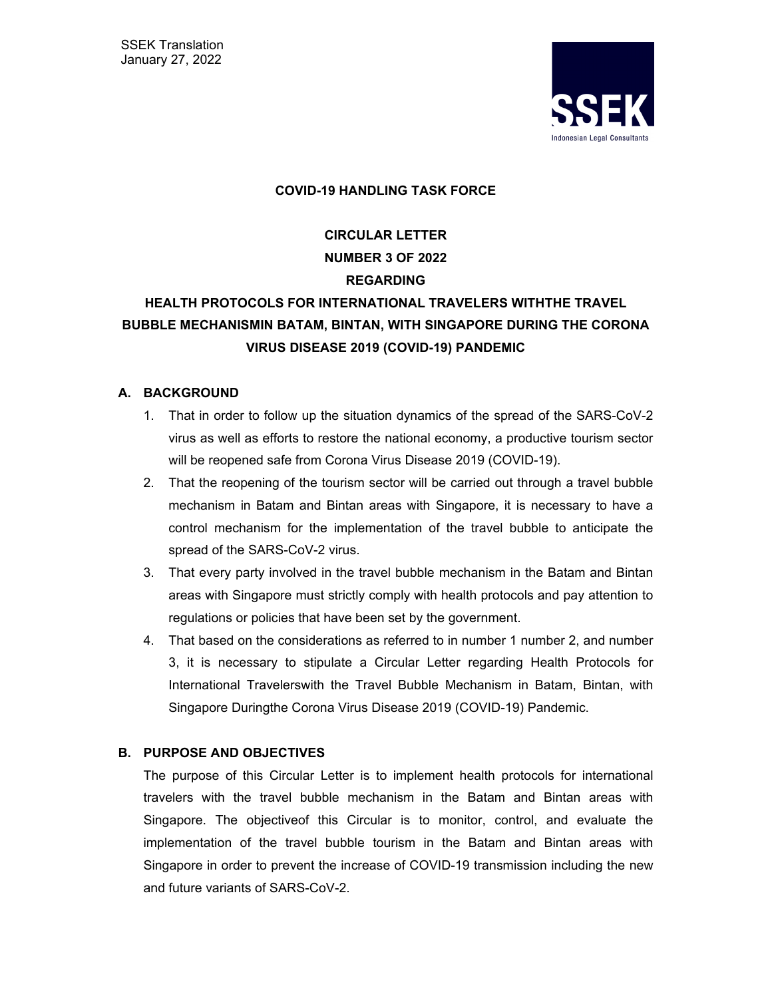SSEK Translation January 27, 2022



#### **COVID-19 HANDLING TASK FORCE**

**CIRCULAR LETTER NUMBER 3 OF 2022 REGARDING HEALTH PROTOCOLS FOR INTERNATIONAL TRAVELERS WITHTHE TRAVEL** 

# **BUBBLE MECHANISMIN BATAM, BINTAN, WITH SINGAPORE DURING THE CORONA VIRUS DISEASE 2019 (COVID-19) PANDEMIC**

#### **A. BACKGROUND**

- 1. That in order to follow up the situation dynamics of the spread of the SARS-CoV-2 virus as well as efforts to restore the national economy, a productive tourism sector will be reopened safe from Corona Virus Disease 2019 (COVID-19).
- 2. That the reopening of the tourism sector will be carried out through a travel bubble mechanism in Batam and Bintan areas with Singapore, it is necessary to have a control mechanism for the implementation of the travel bubble to anticipate the spread of the SARS-CoV-2 virus.
- 3. That every party involved in the travel bubble mechanism in the Batam and Bintan areas with Singapore must strictly comply with health protocols and pay attention to regulations or policies that have been set by the government.
- 4. That based on the considerations as referred to in number 1 number 2, and number 3, it is necessary to stipulate a Circular Letter regarding Health Protocols for International Travelerswith the Travel Bubble Mechanism in Batam, Bintan, with Singapore Duringthe Corona Virus Disease 2019 (COVID-19) Pandemic.

# **B. PURPOSE AND OBJECTIVES**

The purpose of this Circular Letter is to implement health protocols for international travelers with the travel bubble mechanism in the Batam and Bintan areas with Singapore. The objectiveof this Circular is to monitor, control, and evaluate the implementation of the travel bubble tourism in the Batam and Bintan areas with Singapore in order to prevent the increase of COVID-19 transmission including the new and future variants of SARS-CoV-2.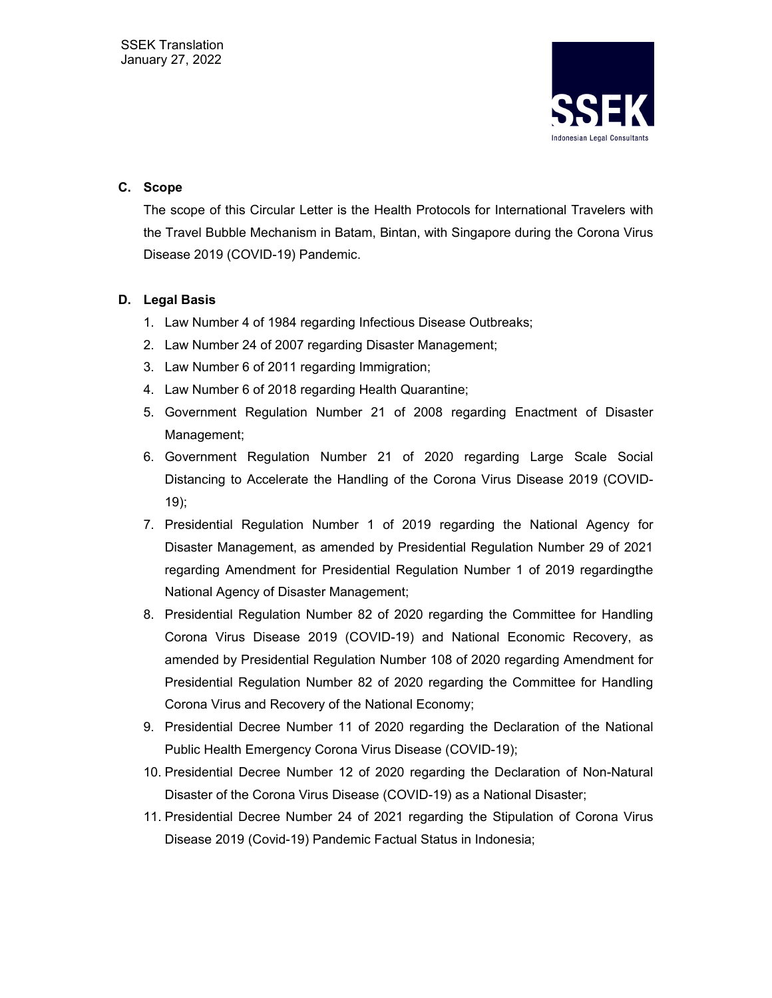

# **C. Scope**

The scope of this Circular Letter is the Health Protocols for International Travelers with the Travel Bubble Mechanism in Batam, Bintan, with Singapore during the Corona Virus Disease 2019 (COVID-19) Pandemic.

# **D. Legal Basis**

- 1. Law Number 4 of 1984 regarding Infectious Disease Outbreaks;
- 2. Law Number 24 of 2007 regarding Disaster Management;
- 3. Law Number 6 of 2011 regarding Immigration;
- 4. Law Number 6 of 2018 regarding Health Quarantine;
- 5. Government Regulation Number 21 of 2008 regarding Enactment of Disaster Management;
- 6. Government Regulation Number 21 of 2020 regarding Large Scale Social Distancing to Accelerate the Handling of the Corona Virus Disease 2019 (COVID-19);
- 7. Presidential Regulation Number 1 of 2019 regarding the National Agency for Disaster Management, as amended by Presidential Regulation Number 29 of 2021 regarding Amendment for Presidential Regulation Number 1 of 2019 regardingthe National Agency of Disaster Management;
- 8. Presidential Regulation Number 82 of 2020 regarding the Committee for Handling Corona Virus Disease 2019 (COVID-19) and National Economic Recovery, as amended by Presidential Regulation Number 108 of 2020 regarding Amendment for Presidential Regulation Number 82 of 2020 regarding the Committee for Handling Corona Virus and Recovery of the National Economy;
- 9. Presidential Decree Number 11 of 2020 regarding the Declaration of the National Public Health Emergency Corona Virus Disease (COVID-19);
- 10. Presidential Decree Number 12 of 2020 regarding the Declaration of Non-Natural Disaster of the Corona Virus Disease (COVID-19) as a National Disaster;
- 11. Presidential Decree Number 24 of 2021 regarding the Stipulation of Corona Virus Disease 2019 (Covid-19) Pandemic Factual Status in Indonesia;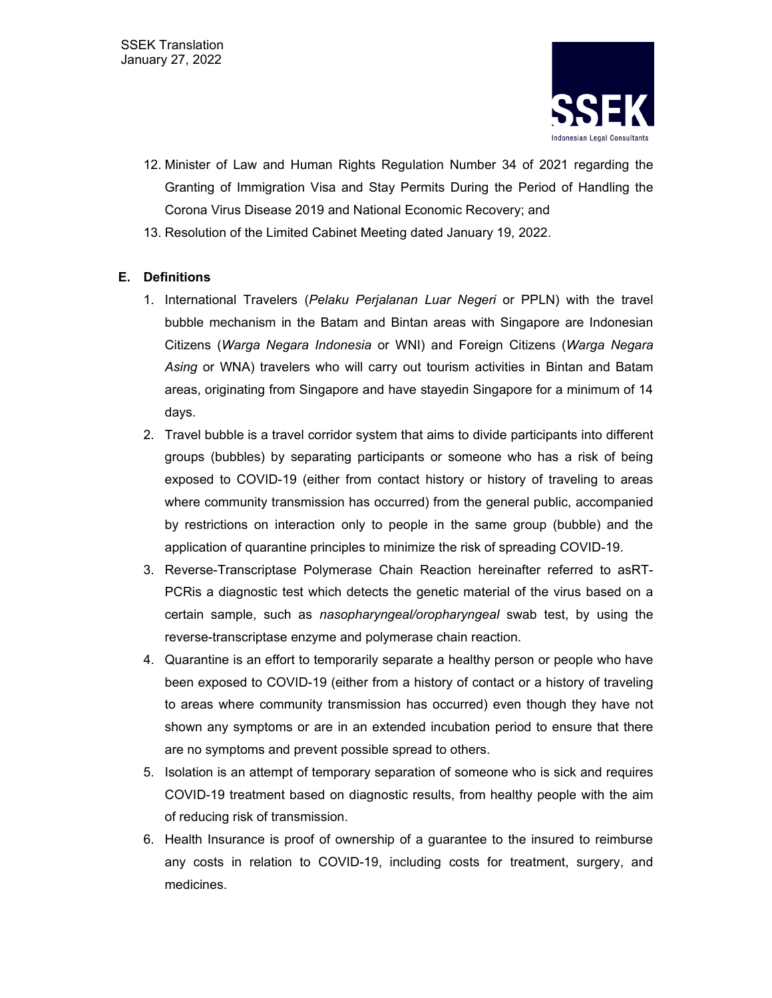

- 12. Minister of Law and Human Rights Regulation Number 34 of 2021 regarding the Granting of Immigration Visa and Stay Permits During the Period of Handling the Corona Virus Disease 2019 and National Economic Recovery; and
- 13. Resolution of the Limited Cabinet Meeting dated January 19, 2022.

# **E. Definitions**

- 1. International Travelers (*Pelaku Perjalanan Luar Negeri* or PPLN) with the travel bubble mechanism in the Batam and Bintan areas with Singapore are Indonesian Citizens (*Warga Negara Indonesia* or WNI) and Foreign Citizens (*Warga Negara Asing* or WNA) travelers who will carry out tourism activities in Bintan and Batam areas, originating from Singapore and have stayedin Singapore for a minimum of 14 days.
- 2. Travel bubble is a travel corridor system that aims to divide participants into different groups (bubbles) by separating participants or someone who has a risk of being exposed to COVID-19 (either from contact history or history of traveling to areas where community transmission has occurred) from the general public, accompanied by restrictions on interaction only to people in the same group (bubble) and the application of quarantine principles to minimize the risk of spreading COVID-19.
- 3. Reverse-Transcriptase Polymerase Chain Reaction hereinafter referred to asRT-PCRis a diagnostic test which detects the genetic material of the virus based on a certain sample, such as *nasopharyngeal/oropharyngeal* swab test, by using the reverse-transcriptase enzyme and polymerase chain reaction.
- 4. Quarantine is an effort to temporarily separate a healthy person or people who have been exposed to COVID-19 (either from a history of contact or a history of traveling to areas where community transmission has occurred) even though they have not shown any symptoms or are in an extended incubation period to ensure that there are no symptoms and prevent possible spread to others.
- 5. Isolation is an attempt of temporary separation of someone who is sick and requires COVID-19 treatment based on diagnostic results, from healthy people with the aim of reducing risk of transmission.
- 6. Health Insurance is proof of ownership of a guarantee to the insured to reimburse any costs in relation to COVID-19, including costs for treatment, surgery, and medicines.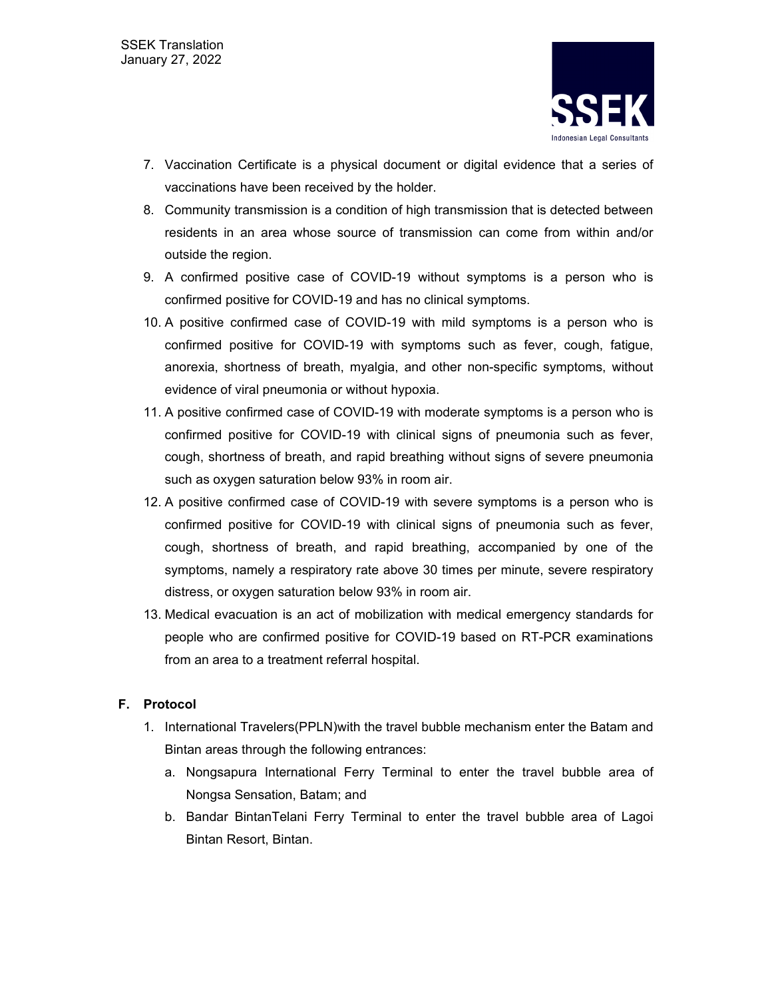

- 7. Vaccination Certificate is a physical document or digital evidence that a series of vaccinations have been received by the holder.
- 8. Community transmission is a condition of high transmission that is detected between residents in an area whose source of transmission can come from within and/or outside the region.
- 9. A confirmed positive case of COVID-19 without symptoms is a person who is confirmed positive for COVID-19 and has no clinical symptoms.
- 10. A positive confirmed case of COVID-19 with mild symptoms is a person who is confirmed positive for COVID-19 with symptoms such as fever, cough, fatigue, anorexia, shortness of breath, myalgia, and other non-specific symptoms, without evidence of viral pneumonia or without hypoxia.
- 11. A positive confirmed case of COVID-19 with moderate symptoms is a person who is confirmed positive for COVID-19 with clinical signs of pneumonia such as fever, cough, shortness of breath, and rapid breathing without signs of severe pneumonia such as oxygen saturation below 93% in room air.
- 12. A positive confirmed case of COVID-19 with severe symptoms is a person who is confirmed positive for COVID-19 with clinical signs of pneumonia such as fever, cough, shortness of breath, and rapid breathing, accompanied by one of the symptoms, namely a respiratory rate above 30 times per minute, severe respiratory distress, or oxygen saturation below 93% in room air.
- 13. Medical evacuation is an act of mobilization with medical emergency standards for people who are confirmed positive for COVID-19 based on RT-PCR examinations from an area to a treatment referral hospital.

# **F. Protocol**

- 1. International Travelers(PPLN)with the travel bubble mechanism enter the Batam and Bintan areas through the following entrances:
	- a. Nongsapura International Ferry Terminal to enter the travel bubble area of Nongsa Sensation, Batam; and
	- b. Bandar BintanTelani Ferry Terminal to enter the travel bubble area of Lagoi Bintan Resort, Bintan.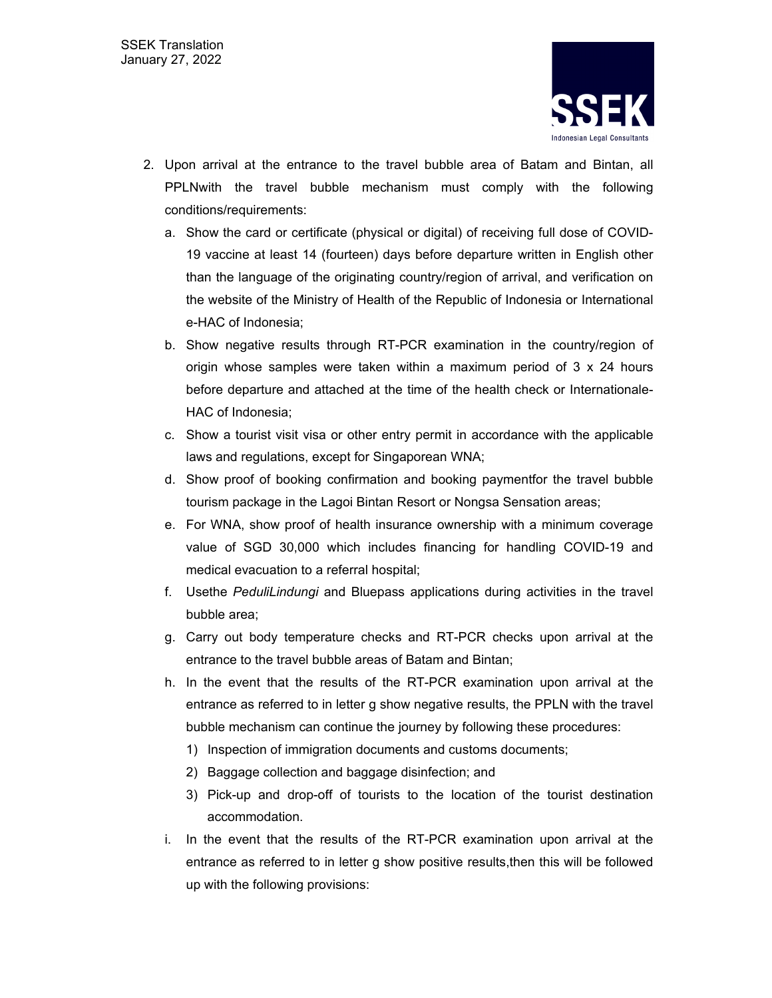

- 2. Upon arrival at the entrance to the travel bubble area of Batam and Bintan, all PPLNwith the travel bubble mechanism must comply with the following conditions/requirements:
	- a. Show the card or certificate (physical or digital) of receiving full dose of COVID-19 vaccine at least 14 (fourteen) days before departure written in English other than the language of the originating country/region of arrival, and verification on the website of the Ministry of Health of the Republic of Indonesia or International e-HAC of Indonesia;
	- b. Show negative results through RT-PCR examination in the country/region of origin whose samples were taken within a maximum period of 3 x 24 hours before departure and attached at the time of the health check or Internationale-HAC of Indonesia;
	- c. Show a tourist visit visa or other entry permit in accordance with the applicable laws and regulations, except for Singaporean WNA;
	- d. Show proof of booking confirmation and booking paymentfor the travel bubble tourism package in the Lagoi Bintan Resort or Nongsa Sensation areas;
	- e. For WNA, show proof of health insurance ownership with a minimum coverage value of SGD 30,000 which includes financing for handling COVID-19 and medical evacuation to a referral hospital;
	- f. Usethe *PeduliLindungi* and Bluepass applications during activities in the travel bubble area;
	- g. Carry out body temperature checks and RT-PCR checks upon arrival at the entrance to the travel bubble areas of Batam and Bintan;
	- h. In the event that the results of the RT-PCR examination upon arrival at the entrance as referred to in letter g show negative results, the PPLN with the travel bubble mechanism can continue the journey by following these procedures:
		- 1) Inspection of immigration documents and customs documents;
		- 2) Baggage collection and baggage disinfection; and
		- 3) Pick-up and drop-off of tourists to the location of the tourist destination accommodation.
	- i. In the event that the results of the RT-PCR examination upon arrival at the entrance as referred to in letter g show positive results,then this will be followed up with the following provisions: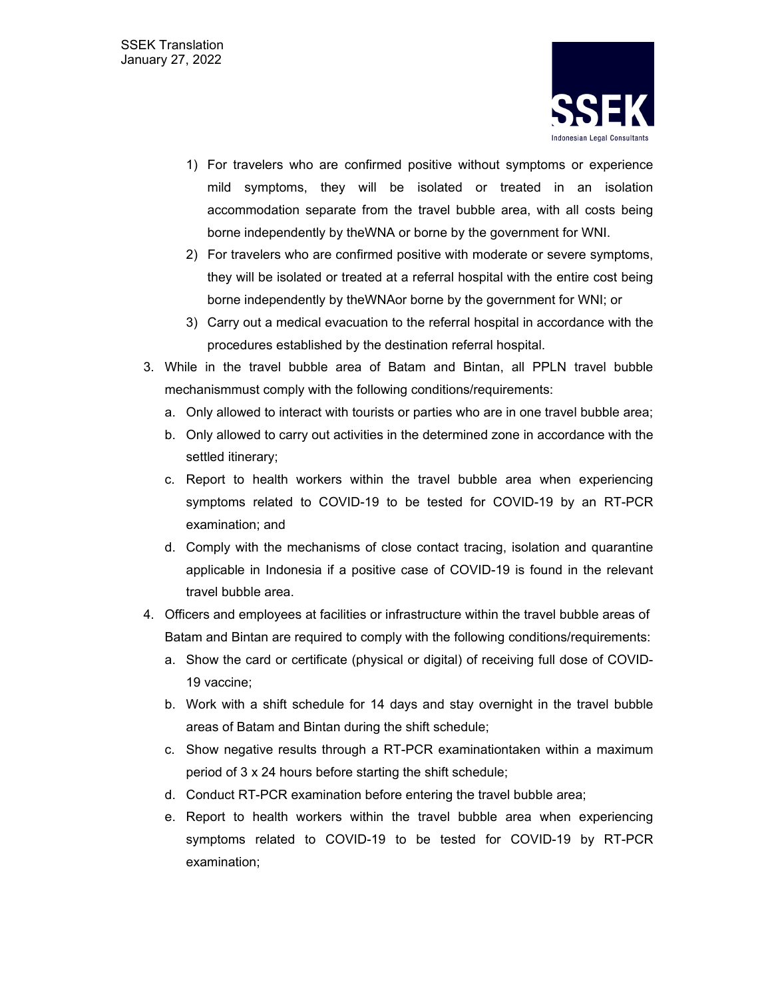

- 1) For travelers who are confirmed positive without symptoms or experience mild symptoms, they will be isolated or treated in an isolation accommodation separate from the travel bubble area, with all costs being borne independently by theWNA or borne by the government for WNI.
- 2) For travelers who are confirmed positive with moderate or severe symptoms, they will be isolated or treated at a referral hospital with the entire cost being borne independently by theWNAor borne by the government for WNI; or
- 3) Carry out a medical evacuation to the referral hospital in accordance with the procedures established by the destination referral hospital.
- 3. While in the travel bubble area of Batam and Bintan, all PPLN travel bubble mechanismmust comply with the following conditions/requirements:
	- a. Only allowed to interact with tourists or parties who are in one travel bubble area;
	- b. Only allowed to carry out activities in the determined zone in accordance with the settled itinerary;
	- c. Report to health workers within the travel bubble area when experiencing symptoms related to COVID-19 to be tested for COVID-19 by an RT-PCR examination; and
	- d. Comply with the mechanisms of close contact tracing, isolation and quarantine applicable in Indonesia if a positive case of COVID-19 is found in the relevant travel bubble area.
- 4. Officers and employees at facilities or infrastructure within the travel bubble areas of Batam and Bintan are required to comply with the following conditions/requirements:
	- a. Show the card or certificate (physical or digital) of receiving full dose of COVID-19 vaccine;
	- b. Work with a shift schedule for 14 days and stay overnight in the travel bubble areas of Batam and Bintan during the shift schedule;
	- c. Show negative results through a RT-PCR examinationtaken within a maximum period of 3 x 24 hours before starting the shift schedule;
	- d. Conduct RT-PCR examination before entering the travel bubble area;
	- e. Report to health workers within the travel bubble area when experiencing symptoms related to COVID-19 to be tested for COVID-19 by RT-PCR examination;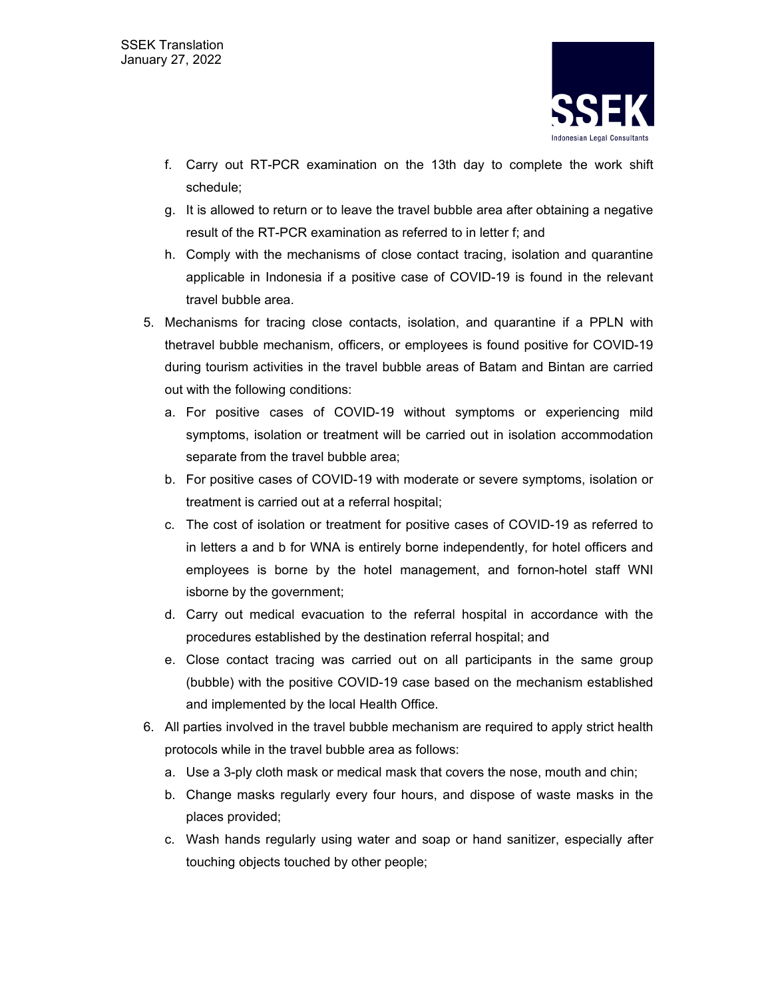

- f. Carry out RT-PCR examination on the 13th day to complete the work shift schedule;
- g. It is allowed to return or to leave the travel bubble area after obtaining a negative result of the RT-PCR examination as referred to in letter f; and
- h. Comply with the mechanisms of close contact tracing, isolation and quarantine applicable in Indonesia if a positive case of COVID-19 is found in the relevant travel bubble area.
- 5. Mechanisms for tracing close contacts, isolation, and quarantine if a PPLN with thetravel bubble mechanism, officers, or employees is found positive for COVID-19 during tourism activities in the travel bubble areas of Batam and Bintan are carried out with the following conditions:
	- a. For positive cases of COVID-19 without symptoms or experiencing mild symptoms, isolation or treatment will be carried out in isolation accommodation separate from the travel bubble area;
	- b. For positive cases of COVID-19 with moderate or severe symptoms, isolation or treatment is carried out at a referral hospital;
	- c. The cost of isolation or treatment for positive cases of COVID-19 as referred to in letters a and b for WNA is entirely borne independently, for hotel officers and employees is borne by the hotel management, and fornon-hotel staff WNI isborne by the government;
	- d. Carry out medical evacuation to the referral hospital in accordance with the procedures established by the destination referral hospital; and
	- e. Close contact tracing was carried out on all participants in the same group (bubble) with the positive COVID-19 case based on the mechanism established and implemented by the local Health Office.
- 6. All parties involved in the travel bubble mechanism are required to apply strict health protocols while in the travel bubble area as follows:
	- a. Use a 3-ply cloth mask or medical mask that covers the nose, mouth and chin;
	- b. Change masks regularly every four hours, and dispose of waste masks in the places provided;
	- c. Wash hands regularly using water and soap or hand sanitizer, especially after touching objects touched by other people;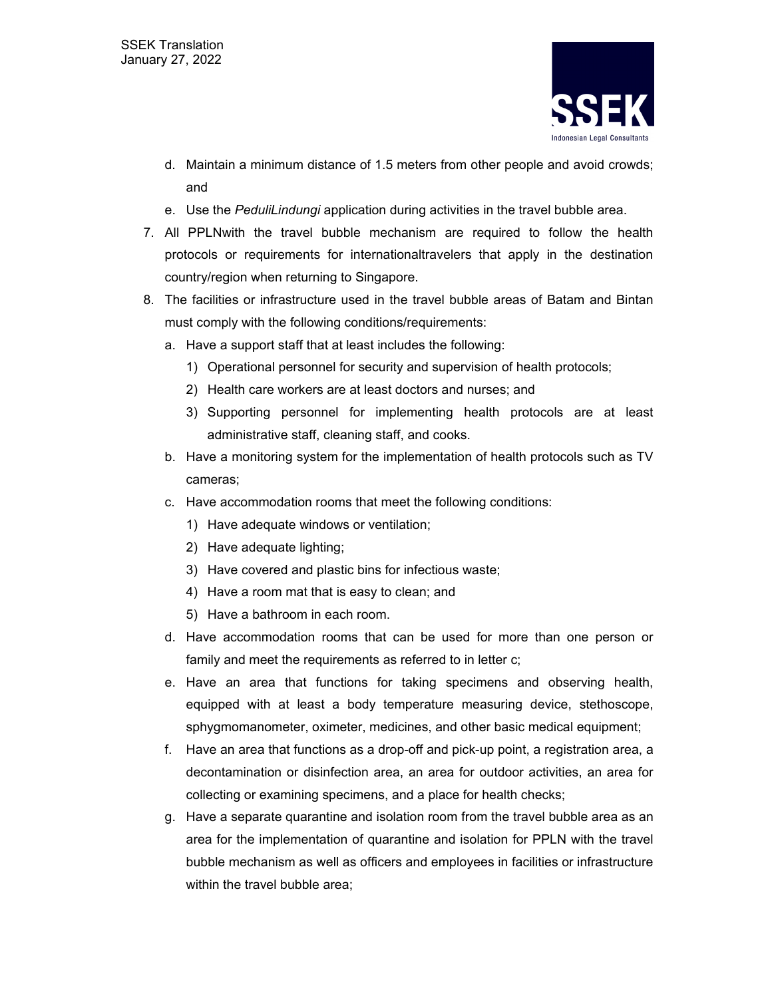

- d. Maintain a minimum distance of 1.5 meters from other people and avoid crowds; and
- e. Use the *PeduliLindungi* application during activities in the travel bubble area.
- 7. All PPLNwith the travel bubble mechanism are required to follow the health protocols or requirements for internationaltravelers that apply in the destination country/region when returning to Singapore.
- 8. The facilities or infrastructure used in the travel bubble areas of Batam and Bintan must comply with the following conditions/requirements:
	- a. Have a support staff that at least includes the following:
		- 1) Operational personnel for security and supervision of health protocols;
		- 2) Health care workers are at least doctors and nurses; and
		- 3) Supporting personnel for implementing health protocols are at least administrative staff, cleaning staff, and cooks.
	- b. Have a monitoring system for the implementation of health protocols such as TV cameras;
	- c. Have accommodation rooms that meet the following conditions:
		- 1) Have adequate windows or ventilation;
		- 2) Have adequate lighting;
		- 3) Have covered and plastic bins for infectious waste;
		- 4) Have a room mat that is easy to clean; and
		- 5) Have a bathroom in each room.
	- d. Have accommodation rooms that can be used for more than one person or family and meet the requirements as referred to in letter c;
	- e. Have an area that functions for taking specimens and observing health, equipped with at least a body temperature measuring device, stethoscope, sphygmomanometer, oximeter, medicines, and other basic medical equipment;
	- f. Have an area that functions as a drop-off and pick-up point, a registration area, a decontamination or disinfection area, an area for outdoor activities, an area for collecting or examining specimens, and a place for health checks;
	- g. Have a separate quarantine and isolation room from the travel bubble area as an area for the implementation of quarantine and isolation for PPLN with the travel bubble mechanism as well as officers and employees in facilities or infrastructure within the travel bubble area: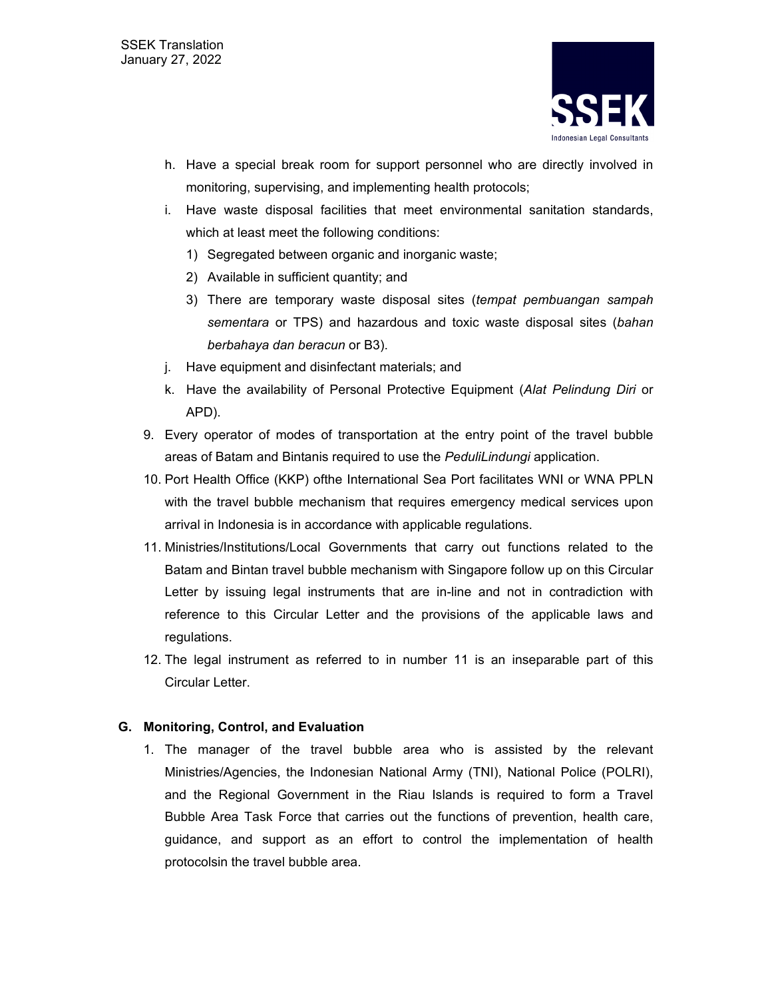

- h. Have a special break room for support personnel who are directly involved in monitoring, supervising, and implementing health protocols;
- i. Have waste disposal facilities that meet environmental sanitation standards, which at least meet the following conditions:
	- 1) Segregated between organic and inorganic waste;
	- 2) Available in sufficient quantity; and
	- 3) There are temporary waste disposal sites (*tempat pembuangan sampah sementara* or TPS) and hazardous and toxic waste disposal sites (*bahan berbahaya dan beracun* or B3).
- j. Have equipment and disinfectant materials; and
- k. Have the availability of Personal Protective Equipment (*Alat Pelindung Diri* or APD).
- 9. Every operator of modes of transportation at the entry point of the travel bubble areas of Batam and Bintanis required to use the *PeduliLindungi* application.
- 10. Port Health Office (KKP) ofthe International Sea Port facilitates WNI or WNA PPLN with the travel bubble mechanism that requires emergency medical services upon arrival in Indonesia is in accordance with applicable regulations.
- 11. Ministries/Institutions/Local Governments that carry out functions related to the Batam and Bintan travel bubble mechanism with Singapore follow up on this Circular Letter by issuing legal instruments that are in-line and not in contradiction with reference to this Circular Letter and the provisions of the applicable laws and regulations.
- 12. The legal instrument as referred to in number 11 is an inseparable part of this Circular Letter.

#### **G. Monitoring, Control, and Evaluation**

1. The manager of the travel bubble area who is assisted by the relevant Ministries/Agencies, the Indonesian National Army (TNI), National Police (POLRI), and the Regional Government in the Riau Islands is required to form a Travel Bubble Area Task Force that carries out the functions of prevention, health care, guidance, and support as an effort to control the implementation of health protocolsin the travel bubble area.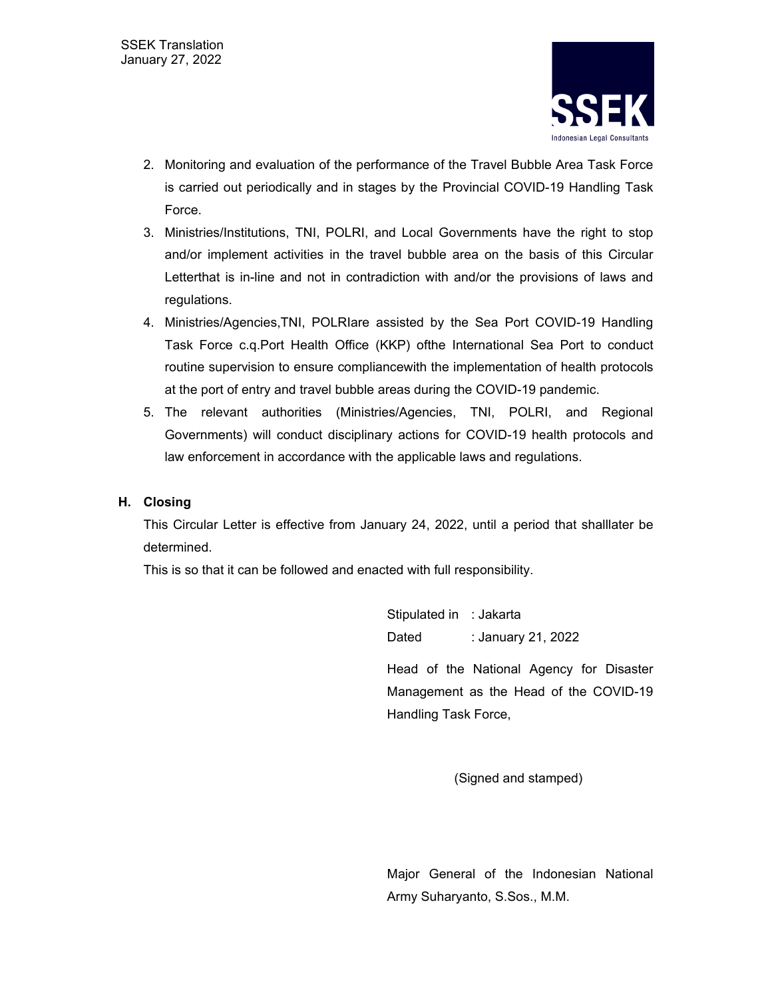

- 2. Monitoring and evaluation of the performance of the Travel Bubble Area Task Force is carried out periodically and in stages by the Provincial COVID-19 Handling Task Force.
- 3. Ministries/Institutions, TNI, POLRI, and Local Governments have the right to stop and/or implement activities in the travel bubble area on the basis of this Circular Letterthat is in-line and not in contradiction with and/or the provisions of laws and regulations.
- 4. Ministries/Agencies,TNI, POLRIare assisted by the Sea Port COVID-19 Handling Task Force c.q.Port Health Office (KKP) ofthe International Sea Port to conduct routine supervision to ensure compliancewith the implementation of health protocols at the port of entry and travel bubble areas during the COVID-19 pandemic.
- 5. The relevant authorities (Ministries/Agencies, TNI, POLRI, and Regional Governments) will conduct disciplinary actions for COVID-19 health protocols and law enforcement in accordance with the applicable laws and regulations.

#### **H. Closing**

This Circular Letter is effective from January 24, 2022, until a period that shalllater be determined.

This is so that it can be followed and enacted with full responsibility.

Stipulated in : Jakarta Dated : January 21, 2022

Head of the National Agency for Disaster Management as the Head of the COVID-19 Handling Task Force,

(Signed and stamped)

Major General of the Indonesian National Army Suharyanto, S.Sos., M.M.